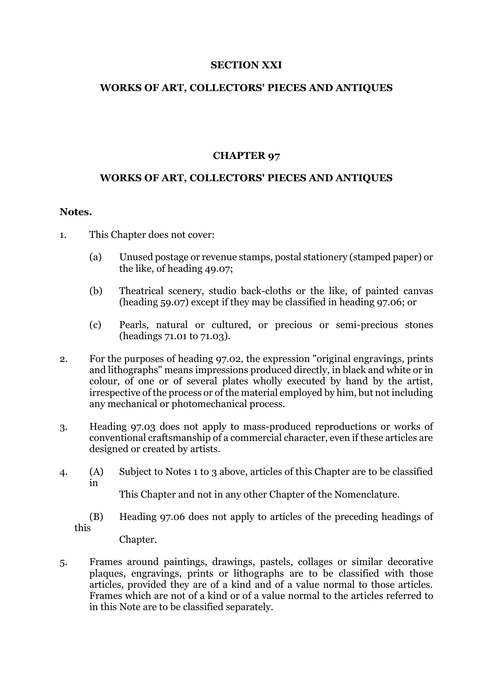### **SECTION XXI**

## **WORKS OF ART, COLLECTORS' PIECES AND ANTIQUES**

### **CHAPTER 97**

# **WORKS OF ART, COLLECTORS' PIECES AND ANTIQUES**

#### **Notes.**

- 1. This Chapter does not cover:
	- (a) Unused postage or revenue stamps, postal stationery (stamped paper) or the like, of heading 49.07;
	- (b) Theatrical scenery, studio back-cloths or the like, of painted canvas (heading 59.07) except if they may be classified in heading 97.06; or
	- (c) Pearls, natural or cultured, or precious or semi-precious stones (headings 71.01 to 71.03).
- 2. For the purposes of heading 97.02, the expression "original engravings, prints and lithographs" means impressions produced directly, in black and white or in colour, of one or of several plates wholly executed by hand by the artist, irrespective of the process or of the material employed by him, but not including any mechanical or photomechanical process.
- 3. Heading 97.03 does not apply to mass-produced reproductions or works of conventional craftsmanship of a commercial character, even if these articles are designed or created by artists.
- 4. (A) Subject to Notes 1 to 3 above, articles of this Chapter are to be classified in

This Chapter and not in any other Chapter of the Nomenclature.

(B) Heading 97.06 does not apply to articles of the preceding headings of this

Chapter.

5. Frames around paintings, drawings, pastels, collages or similar decorative plaques, engravings, prints or lithographs are to be classified with those articles, provided they are of a kind and of a value normal to those articles. Frames which are not of a kind or of a value normal to the articles referred to in this Note are to be classified separately.